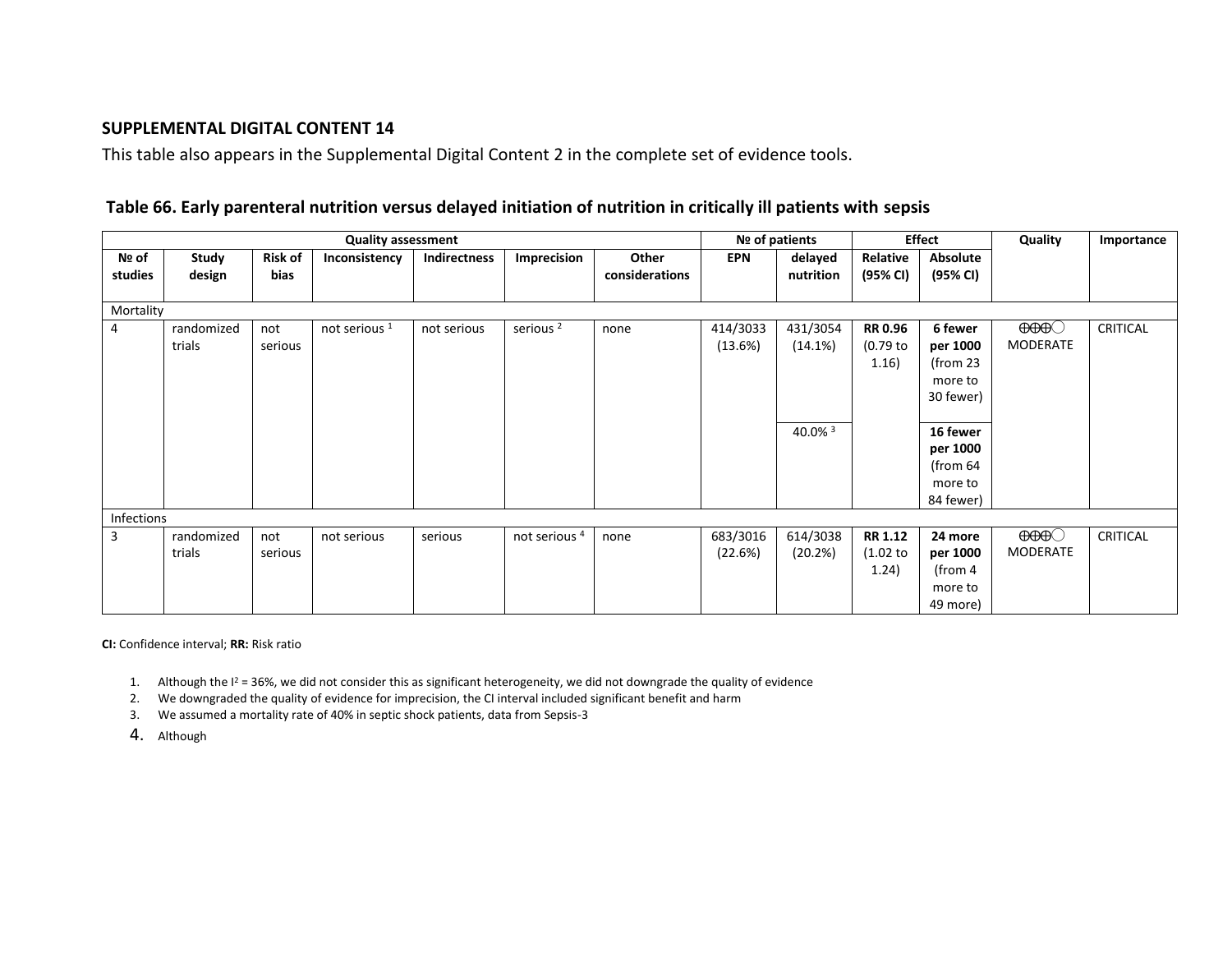## **SUPPLEMENTAL DIGITAL CONTENT 14**

This table also appears in the Supplemental Digital Content 2 in the complete set of evidence tools.

## **Table 66. Early parenteral nutrition versus delayed initiation of nutrition in critically ill patients with sepsis**

|                  |                      |                        | <b>Quality assessment</b> |                     | Nº of patients           |                         | <b>Effect</b>       |                                | Quality                               | Importance                                                                                                            |                                  |                 |
|------------------|----------------------|------------------------|---------------------------|---------------------|--------------------------|-------------------------|---------------------|--------------------------------|---------------------------------------|-----------------------------------------------------------------------------------------------------------------------|----------------------------------|-----------------|
| Nº of<br>studies | Study<br>design      | <b>Risk of</b><br>bias | Inconsistency             | <b>Indirectness</b> | Imprecision              | Other<br>considerations | EPN                 | delayed<br>nutrition           | Relative<br>(95% CI)                  | Absolute<br>(95% CI)                                                                                                  |                                  |                 |
| Mortality        |                      |                        |                           |                     |                          |                         |                     |                                |                                       |                                                                                                                       |                                  |                 |
| 4                | randomized<br>trials | not<br>serious         | not serious <sup>1</sup>  | not serious         | serious <sup>2</sup>     | none                    | 414/3033<br>(13.6%) | 431/3054<br>(14.1%)<br>40.0% 3 | <b>RR 0.96</b><br>$(0.79$ to<br>1.16) | 6 fewer<br>per 1000<br>(from $23$<br>more to<br>30 fewer)<br>16 fewer<br>per 1000<br>(from 64<br>more to<br>84 fewer) | $\Theta\Theta\Theta$<br>MODERATE | CRITICAL        |
| Infections       |                      |                        |                           |                     |                          |                         |                     |                                |                                       |                                                                                                                       |                                  |                 |
| $\overline{3}$   | randomized<br>trials | not<br>serious         | not serious               | serious             | not serious <sup>4</sup> | none                    | 683/3016<br>(22.6%) | 614/3038<br>(20.2%)            | <b>RR 1.12</b><br>(1.02)<br>(1.24)    | 24 more<br>per 1000<br>(from 4<br>more to<br>49 more)                                                                 | $\Theta\Theta\Theta$<br>MODERATE | <b>CRITICAL</b> |

**CI:** Confidence interval; **RR:** Risk ratio

1. Although the  $I^2 = 36\%$ , we did not consider this as significant heterogeneity, we did not downgrade the quality of evidence

2. We downgraded the quality of evidence for imprecision, the CI interval included significant benefit and harm

3. We assumed a mortality rate of 40% in septic shock patients, data from Sepsis-3

4. Although